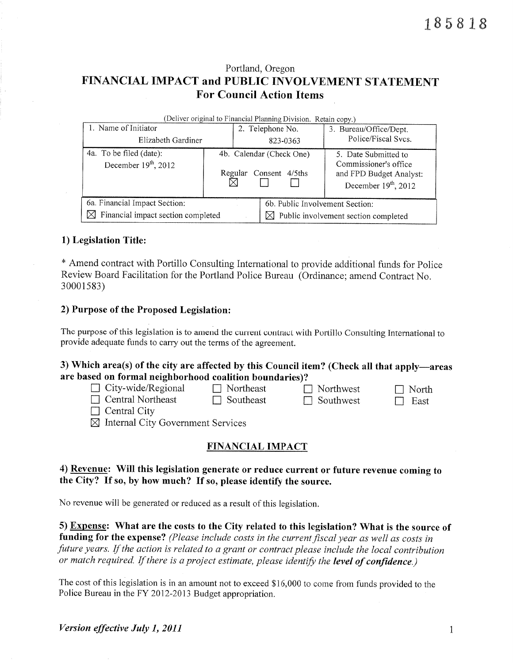# Portland, Oregon FINANCIAL IMPACT and PUBLIC INVOLVEMENT STATEMENT **For Council Action Items**

| (Deliver original to Financial Planning Division. Retain copy.) |  |                                                       |                                                                                                    |  |  |  |  |  |  |
|-----------------------------------------------------------------|--|-------------------------------------------------------|----------------------------------------------------------------------------------------------------|--|--|--|--|--|--|
| 1. Name of Initiator                                            |  | 2. Telephone No.                                      | 3. Bureau/Office/Dept.                                                                             |  |  |  |  |  |  |
| Elizabeth Gardiner                                              |  | 823-0363                                              | Police/Fiscal Svcs.                                                                                |  |  |  |  |  |  |
| 4a. To be filed (date):<br>December $19th$ , 2012               |  | 4b. Calendar (Check One)<br>Regular<br>Consent 4/5ths | 5. Date Submitted to<br>Commissioner's office<br>and FPD Budget Analyst:<br>December $19th$ , 2012 |  |  |  |  |  |  |
| 6a. Financial Impact Section:                                   |  | 6b. Public Involvement Section:                       |                                                                                                    |  |  |  |  |  |  |
| Financial impact section completed<br>M                         |  |                                                       | $\boxtimes$ Public involvement section completed                                                   |  |  |  |  |  |  |

### 1) Legislation Title:

\* Amend contract with Portillo Consulting International to provide additional funds for Police Review Board Facilitation for the Portland Police Bureau (Ordinance; amend Contract No. 30001583)

#### 2) Purpose of the Proposed Legislation:

The purpose of this legislation is to amend the current contract with Portillo Consulting International to provide adequate funds to carry out the terms of the agreement.

### 3) Which area(s) of the city are affected by this Council item? (Check all that apply—areas are based on formal neighborhood coalition boundaries)?

| $\Box$ City-wide/Regional | $\Box$ Northeast | $\Box$ Northwest | $\Box$ North |
|---------------------------|------------------|------------------|--------------|
| $\Box$ Central Northeast  | $\Box$ Southeast | $\Box$ Southwest | $\Box$ East  |
| $\Box$ Control City       |                  |                  |              |

 $\Box$  Central City

 $\boxtimes$  Internal City Government Services

## **FINANCIAL IMPACT**

### 4) Revenue: Will this legislation generate or reduce current or future revenue coming to the City? If so, by how much? If so, please identify the source.

No revenue will be generated or reduced as a result of this legislation.

5) Expense: What are the costs to the City related to this legislation? What is the source of funding for the expense? (Please include costs in the current fiscal year as well as costs in future years. If the action is related to a grant or contract please include the local contribution or match required. If there is a project estimate, please identify the level of confidence.)

The cost of this legislation is in an amount not to exceed \$16,000 to come from funds provided to the Police Bureau in the FY 2012-2013 Budget appropriation.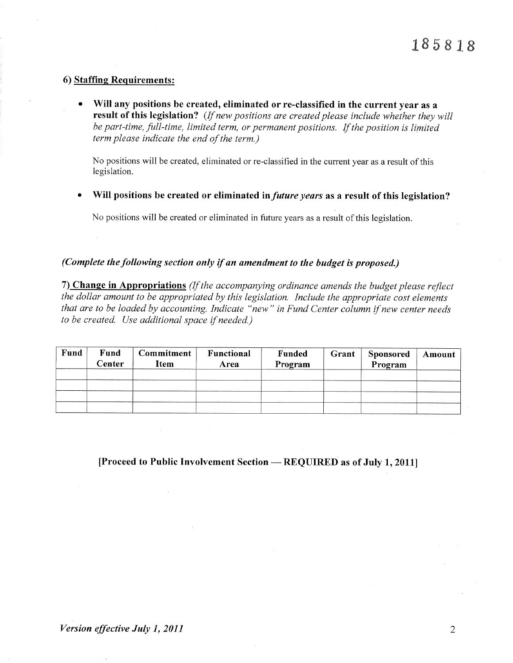#### 6) Staffing Requirements:

Will any positions be created, eliminated or re-classified in the current year as a result of this legislation? (If new positions are created please include whether they will be part-time, full-time, limited term, or permanent positions. If the position is limited term please indicate the end of the term.)

No positions will be created, eliminated or re-classified in the current year as a result of this legislation.

Will positions be created or eliminated in *future years* as a result of this legislation?  $\bullet$ 

No positions will be created or eliminated in future years as a result of this legislation.

### (Complete the following section only if an amendment to the budget is proposed.)

7) Change in Appropriations (If the accompanying ordinance amends the budget please reflect the dollar amount to be appropriated by this legislation. Include the appropriate cost elements that are to be loaded by accounting. Indicate "new" in Fund Center column if new center needs to be created. Use additional space if needed.)

| Fund | Fund<br>$\mathsf{Center}$ | Commitment<br>Item | Functional<br><b>Area</b> | Funded<br>Program | Grant | <b>Sponsored</b><br>Program | Amount |
|------|---------------------------|--------------------|---------------------------|-------------------|-------|-----------------------------|--------|
|      |                           |                    |                           |                   |       |                             |        |
|      |                           |                    |                           |                   |       |                             |        |
|      |                           |                    |                           |                   |       |                             |        |
|      |                           |                    |                           |                   |       |                             |        |

[Proceed to Public Involvement Section — REQUIRED as of July 1, 2011]